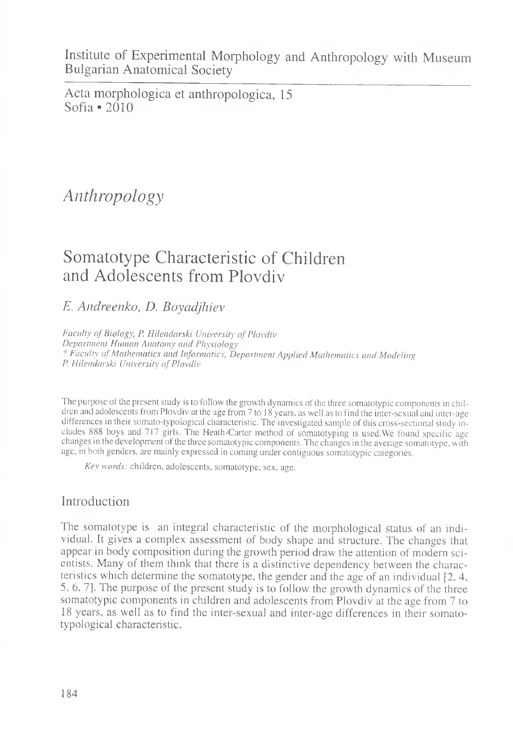Institute of Experimental Morphology and Anthropology with Museum Bulgarian Anatomical Society

Acta morphologica et anthropologica, 15 Sofia  $\bullet$  2010

# *Anthropology*

## Somatotype Characteristic of Children and Adolescents from Plovdiv

### *E. Andreenko, D. Boyadjhiev*

Faculty of Biology, P. Hilendarski University of Plovdiv *Department Human Anatomy and Physiology \* Faculty of Mathematics and Informatics, Department Applied Mathematics and Modeling P. Hilenclarski University of Plovdiv*

The purpose of the present study is to follow the growth dynamics of the three somatotypic components in children and adolescents from Plovdiv at the age from 7 to 18 years, as well as to find the inter-sexual and inter-age differences in their somato-typological characteristic. The investigated sample of this cross-sectional study includes 888 boys and 717 girls. The Heath-Carter method of somatotyping is used.We found specific age changes in the development of the three somatotypic components. The changes in the average somatotype, with age, in both genders, are mainly expressed in coming under contiguous somatotypic categories.

*Key words:* children, adolescents, somatotype, sex, age.

### Introduction

The somatotype is an integral characteristic of the morphological status of an individual. It gives a complex assessment of body shape and structure. The changes that appear in body composition during the growth period draw the attention of modern scientists. Many of them think that there is a distinctive dependency between the characteristics which determine the somatotype, the gender and the age of an individual [2, 4, 5, 6 . 7]. The purpose of the present study is to follow the growth dynamics of the three somatotypic components in children and adolescents from Plovdiv at the age from 7 to 18 years, as well as to find the inter-sexual and inter-age differences in their somatotypological characteristic.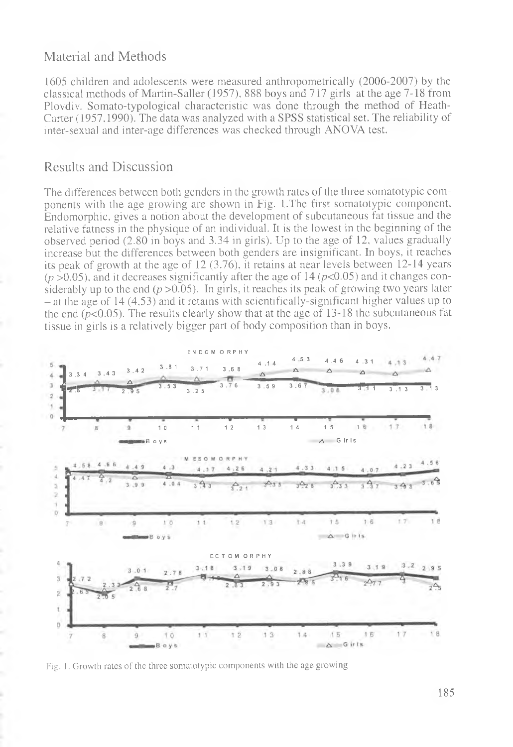### Material and Methods

1605 children and adolescents were measured anthropometrically (2006-2007) by the classical methods of Martin-Saller (1957), 888 boys and 717 girls at the age 7-18 from Ploydiy. Somato-typological characteristic was done through the method of Heath-Carter (1957, 1990). The data was analyzed with a SPSS statistical set. The reliability of inter-sexual and inter-age differences was checked through ANOVA test.

#### Results and Discussion

The differences between both genders in the growth rates of the three somatotypic components with the age growing are shown in Fig. 1. The first somatotypic component, Endomorphic, gives a notion about the development of subcutaneous fat tissue and the relative fatness in the physique of an individual. It is the lowest in the beginning of the observed period (2.80 in boys and 3.34 in girls). Up to the age of 12, values gradually increase but the differences between both genders are insignificant. In boys, it reaches its peak of growth at the age of 12  $(3.76)$ , it retains at near levels between 12-14 years  $(p > 0.05)$ , and it decreases significantly after the age of 14 ( $p < 0.05$ ) and it changes considerably up to the end ( $p > 0.05$ ). In girls, it reaches its peak of growing two years later  $-$  at the age of 14 (4,53) and it retains with scientifically-significant higher values up to the end ( $p<0.05$ ). The results clearly show that at the age of 13-18 the subcutaneous fat tissue in girls is a relatively bigger part of body composition than in boys.



Fig. 1. Growth rates of the three somatotypic components with the age growing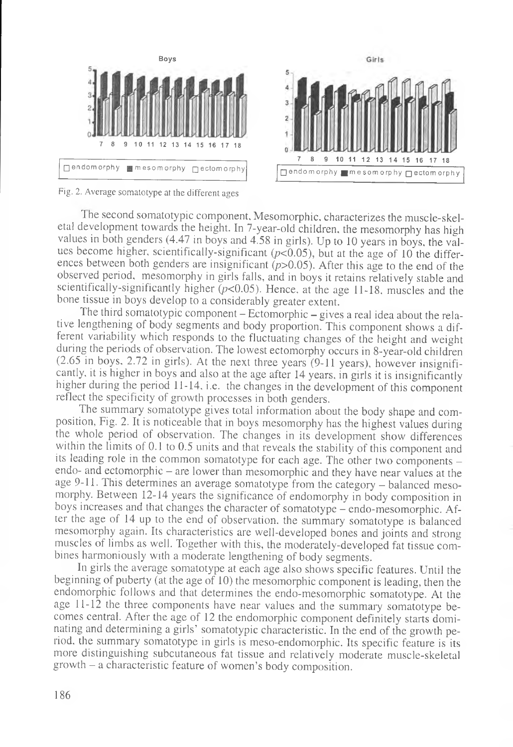

Fig, 2. Average somatotype at the different ages

The second somatotypic component. Mesomorphic, characterizes the muscle-skeletal development towards the height. In 7-year-old children, the mesomorphy has high values in both genders (4.47 in boys and 4.58 in girls). Up to 10 years in boys, the values become higher, scientifically-significant  $(p<0.05)$ , but at the age of 10 the differences between both genders are insignificant *(p>*0.05). After this age to the end of the observed period, mesomorphy in girls falls, and in boys it retains relatively stable and scientifically-significantly higher *(p<*0.05). Hence, at the age 11-18, muscles and the bone tissue in boys develop to a considerably greater extent.

The third somatotypic component - Ectomorphic - gives a real idea about the relative lengthening of body segments and body proportion. This component shows a different variability which responds to the fluctuating changes of the height and weight during the periods of observation. The lowest ectomorphy occurs in 8 -year-old children (2.65 in boys, 2.72 in girls). At the next three years (9-11 years), however insignificantly. it is higher in boys and also at the age after 14 years, in girls it is insignificantly higher during the period 11-14, i.e. the changes in the development of this component reflect the specificity of growth processes in both genders.

The summary somatotype gives total information about the body shape and composition, Fig. 2. It is noticeable that in boys mesomorphy has the highest values during the whole period of observation. The changes in its development show differences within the limits of 0.1 to 0.5 units and that reveals the stability of this component and its leading role in the common somatotype for each age. The other two components endo- and ectomorphic - are lower than mesomorphic and they have near values at the age 9-11. This determines an average somatotype from the category - balanced mesomorphy. Between 12-14 years the significance of endomorphy in body composition in boys increases and that changes the character of somatotype - endo-mesomorphic. After the age of 14 up to the end of observation, the summary somatotype is balanced mesomorphy again. Its characteristics are well-developed bones and joints and strong muscles of limbs as well. Together with this, the moderately-developed fat tissue combines harmoniously with a moderate lengthening of body segments.

In girls the average somatotype at each age also shows specific features. Until the beginning of puberty (at the age of 10) the mesomorphic component is leading, then the endomorphic follows and that determines the endo-mesomorphic somatotype. At the age 11-12 the three components have near values and the summary somatotype becomes central. After the age of 12 the endomorphic component definitely starts dominating and determining a girls' somatotypic characteristic. In the end of the growth period, the summary somatotype in girls is meso-endomorphic. Its specific feature is its more distinguishing subcutaneous fat tissue and relatively moderate muscle-skeletal growth - a characteristic feature of women's body composition.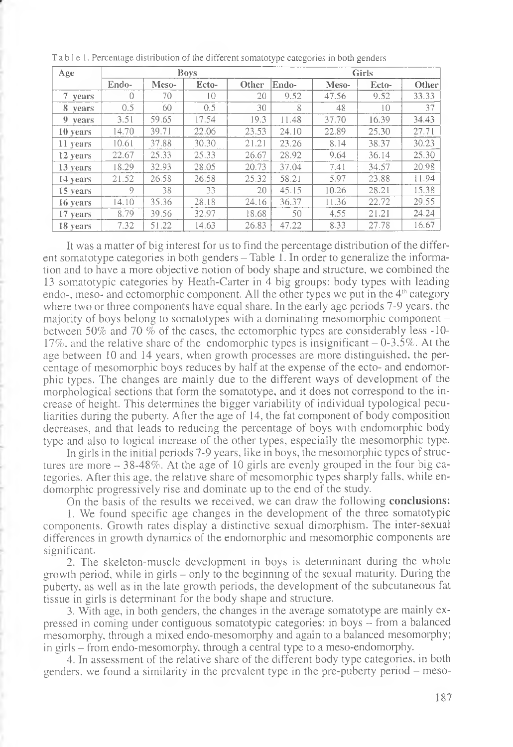| Age      | <b>Boys</b> |       |                 |       | <b>Girls</b> |       |       |       |
|----------|-------------|-------|-----------------|-------|--------------|-------|-------|-------|
|          | Endo-       | Meso- | Ecto-           | Other | Endo-        | Meso- | Ecto- | Other |
| 7 years  | 0           | 70    | $\overline{10}$ | 20    | 9.52         | 47.56 | 9.52  | 33.33 |
| 8 years  | 0.5         | 60    | 0.5             | 30    | 8            | 48    | 10    | 37    |
| 9 years  | 3.51        | 59.65 | 17.54           | 19.3  | 11.48        | 37.70 | 16.39 | 34.43 |
| 10 years | 14.70       | 39.71 | 22.06           | 23.53 | 24.10        | 22.89 | 25.30 | 27.71 |
| 11 years | 10.61       | 37.88 | 30.30           | 21.21 | 23.26        | 8.14  | 38.37 | 30.23 |
| 12 years | 22.67       | 25.33 | 25.33           | 26.67 | 28.92        | 9.64  | 36.14 | 25.30 |
| 13 years | 18.29       | 32.93 | 28.05           | 20.73 | 37.04        | 7.41  | 34.57 | 20.98 |
| 14 years | 21.52       | 26.58 | 26.58           | 25.32 | 58.21        | 5.97  | 23.88 | 11.94 |
| 15 years | $\circ$     | 38    | 33              | 20    | 45.15        | 10.26 | 28.21 | 15.38 |
| 16 years | 14.10       | 35.36 | 28.18           | 24.16 | 36.37        | 11.36 | 22.72 | 29.55 |
| 17 years | 8.79        | 39.56 | 32.97           | 18.68 | 50           | 4.55  | 21.21 | 24.24 |
| 18 years | 7.32        | 51.22 | 14.63           | 26.83 | 47.22        | 8.33  | 27.78 | 16.67 |

Table 1. Percentage distribution of the different somatotype categories in both genders

It was a matter of big interest for us to find the percentage distribution of the different somatotype categories in both genders  $-$  Table 1. In order to generalize the information and to have a more objective notion of body shape and structure, we combined the 13 somatotypic categories by Heath-Carter in 4 big groups: body types with leading endo-, meso- and ectomorphic component. All the other types we put in the  $4<sup>th</sup>$  category where two or three components have equal share. In the early age periods 7-9 years, the majority of boys belong to somatotypes with a dominating mesomorphic component between 50% and 70 % of the cases, the ectomorphic types are considerably less -10-17%, and the relative share of the endomorphic types is insignificant  $-0.35\%$ . At the age between 10 and 14 years, when growth processes are more distinguished, the percentage of mesomorphic boys reduces by half at the expense of the ecto- and endomorphic types. The changes are mainly due to the different ways of development of the morphological sections that form the somatotype, and it does not correspond to the increase of height. This determines the bigger variability of individual typological peculiarities during the puberty. After the age of 14, the fat component of body composition decreases, and that leads to reducing the percentage of boys with endomorphic body type and also to logical increase of the other types, especially the mesomorphic type.

In girls in the initial periods 7-9 years, like in boys, the mesomorphic types of structures are more  $-38-48\%$ . At the age of 10 girls are evenly grouped in the four big categories. After this age, the relative share of mesomorphic types sharply falls, while endomorphic progressively rise and dominate up to the end of the study.

On the basis of the results we received, we can draw the following conclusions:

1. We found specific age changes in the development of the three somatotypic components. Growth rates display a distinctive sexual dimorphism. The inter-sexual differences in growth dynamics of the endomorphic and mesomorphic components are significant.

2. The skeleton-muscle development in boys is determinant during the whole growth period, while in girls - only to the beginning of the sexual maturity. During the puberty, as well as in the late growth periods, the development of the subcutaneous fat tissue in girls is determinant for the body shape and structure.

3. With age, in both genders, the changes in the average somatotype are mainly expressed in coming under contiguous somatotypic categories: in boys - from a balanced mesomorphy, through a mixed endo-mesomorphy and again to a balanced mesomorphy; in girls - from endo-mesomorphy, through a central type to a meso-endomorphy.

4. In assessment of the relative share of the different body type categories, in both genders, we found a similarity in the prevalent type in the pre-puberty period – meso